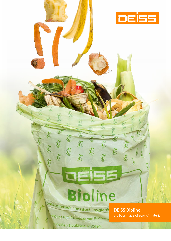# Bioline ompostierbar nassfest hygienis

21

eignet zum Sammeln von Kücher

<sup>9</sup> heißen Bioabfälle einfüllen.

**Creat** 

 $\delta$ 

**CY HOY** 

**DEISS Bioline** Bio bags made of ecovio<sup>®</sup> material

**DEISS**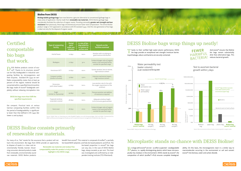### **Bioline from DEISS**

Biodegradable garbage bags have now become a genuine alternative to conventional garbage bags in many areas of application. Mainly made from **renewable raw materials**. DEISS Bioline garbage bags considerably facilitate the collection of organic waste. Providing noticeably greater wet strength and tear resistance than previously, these bags simultaneously ensure faster total compostation. The entire Bioline product range is TÜV approved in accordance with EN standard 13432. And this new generation of bio bags is ideal not only for the disposal of organic waste.

EISS Bioline products consist of ecovio**®**. Thanks to its structure, ecovio**®** can be fully biodegraded in industrial composting facilities by microorganisms and their enzymes. Standard EN 13432 on verifiable compostability states that at least 90 percent of the organic material should be converted within a specified time (6 months). Bio bags made of ecovio**®** biodegrade completely without releasing microplastics into

| <b>Type of composting</b><br>facility   | <b>Period</b><br>spent<br>under exa-<br>mination | % rate of bio-<br>degradability<br>in relation to<br>surface area | <b>Remarks on the</b><br>facilities examined                                                      |
|-----------------------------------------|--------------------------------------------------|-------------------------------------------------------------------|---------------------------------------------------------------------------------------------------|
| Herhof boxes                            | 12 days                                          | 100%                                                              | Aeration with circulating air,<br>good moisture distribution                                      |
| Biodegma                                | 21 days                                          | 50%                                                               | Carbon/nitrogen ratio of organic<br>waste in the examined facility<br>outside the specified range |
| Horstmann WTT                           | 10 days                                          | 100%                                                              | Suction aeration, low air volume,<br>high moisture content                                        |
| Compost tumbler<br>(similar to Envital) | 15 days                                          | >90%                                                              | Intensive mechanical impact,<br>high moisture content                                             |
| Dynacomp<br>(with wheel loader)         | 27 days                                          | 100%                                                              | Low aeration rate (in line with<br>the oxygen requirement of the<br>windrow)                      |
| Auger<br>(similar to Dynacomp)          | 29 days                                          | >90%                                                              | Pressure aeration and addition<br>of moisture as required                                         |
| Trapezoid windrow<br>unaerated, covered | 28 days                                          | 100%                                                              | Adequate windrow height<br>(2.8 m) ensures good aeration                                          |
| Gore cover                              | 28 days                                          | 100%                                                              | Carbon/nitrogen ratio of organic<br>waste in the examined facility<br>outside the specified range |

tween 12 and 29 days). Source: Stabile Tüten zur Sammlung von mehr Bioabfall; Ergebnis von acht Kompostanlagen. Müll und Abfall–Fachzeitschrift für Abfall und Ressourcenmanagement (trade journal for waste and resource management). Established 1969, May 2013

Thanks to their verified high water-column performance, DEISS bio bags provide an exceptional wet strength/moisture barrier. Liquid leakage, odours and bacteria are securely contained.

**B** io bags with ecovio<sup>®</sup> are not – as often suspected – oxodegradable<br>
plastics, i.e. rapidly disintegrating plastics which leave microscopically tiny residues in the environment. DEISS stands by ecovio**®**, the composition of which (ecoflex**®** +PLA) ensures complete biodegrad-





# Certified compostable bio bags that work.

the compost. Practical tests at various German composting facilities confirm that the period of biodegradability is significantly lower than that defined in EN 13432 (be-



ability. On this basis, the microorganisms react in a similar way to macromolecules occurring in the environment or soil and convert ecovio**®** into biomass, water and carbon dioxide.



### DEISS Bioline bags wrap things up neatly!

Source: bifa environmental institute; Study on bacterial growth in organic waste

harm the environment. Bio bags from DEISS provide an opportunity

to dispose of waste in a clean and environmentally friendly manner. Discerning consumers demand products made from renewable, environmentally sound raw materials. DEISS Bioline products benefit from ecovio**®**. This material is composed of ecoflex**®**, a partially bio-based BASF polyester, and fully bio-based polylactic acid (PLA). The

bio-based proportion in ecovio**®** bio bags can vary, but, in the case of DEISS Bioline bags, always exceeds 50 per cent. This level was investigated and confirmed by an inde-

pendent testing institute (TÜV Rheinland).

## DEISS Bioline consists primarily of renewable raw materials.

Renewable raw materials and residue-free compostability make this product a truly innovative highlight in the DEISS range.

Source: BASF; Study on the moisture barrier of bio bags

# For many of us, "bio" stands for the assurance that a product will not benefit from ecovio®. This material is composed of ecoflex®, a partially<br>harm the environment. Bio bags from DEISS provide an opportunity bio-based BAS

And ecovio**®** ensures that Bioline bio bags remain substantially drier than alternative bags. This reduces bacterial growth.

 **FEWER HARMFUL** BACTERIA!

#### DEISS bio bags more than fulfil the specified requirements